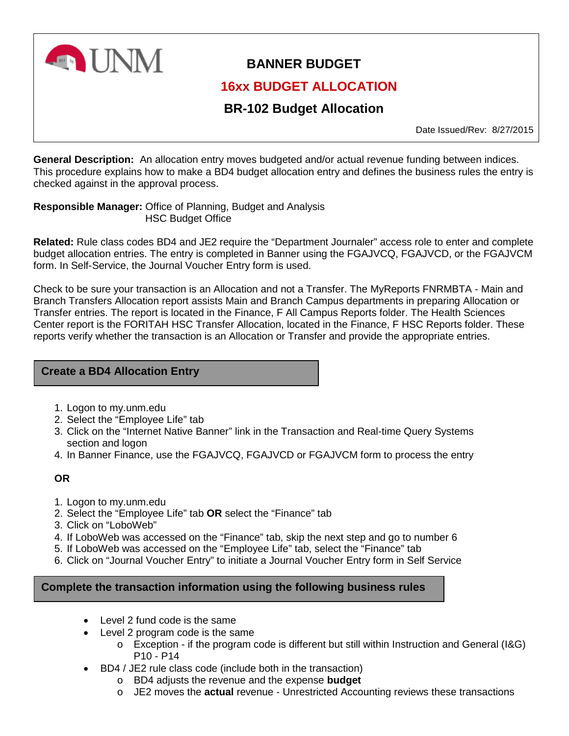

# **BANNER BUDGET**

# **16xx BUDGET ALLOCATION**

# **BR-102 Budget Allocation**

Date Issued/Rev: 8/27/2015

**General Description:** An allocation entry moves budgeted and/or actual revenue funding between indices. This procedure explains how to make a BD4 budget allocation entry and defines the business rules the entry is checked against in the approval process.

#### **Responsible Manager:** Office of Planning, Budget and Analysis HSC Budget Office

**Related:** Rule class codes BD4 and JE2 require the "Department Journaler" access role to enter and complete budget allocation entries. The entry is completed in Banner using the FGAJVCQ, FGAJVCD, or the FGAJVCM form. In Self-Service, the Journal Voucher Entry form is used.

Check to be sure your transaction is an Allocation and not a Transfer. The MyReports FNRMBTA - Main and Branch Transfers Allocation report assists Main and Branch Campus departments in preparing Allocation or Transfer entries. The report is located in the Finance, F All Campus Reports folder. The Health Sciences Center report is the FORITAH HSC Transfer Allocation, located in the Finance, F HSC Reports folder. These reports verify whether the transaction is an Allocation or Transfer and provide the appropriate entries.

### **Create a BD4 Allocation Entry**

- 1. Logon to my.unm.edu
- 2. Select the "Employee Life" tab
- 3. Click on the "Internet Native Banner" link in the Transaction and Real-time Query Systems section and logon
- 4. In Banner Finance, use the FGAJVCQ, FGAJVCD or FGAJVCM form to process the entry

### **OR**

- 1. Logon to my.unm.edu
- 2. Select the "Employee Life" tab **OR** select the "Finance" tab
- 3. Click on "LoboWeb"
- 4. If LoboWeb was accessed on the "Finance" tab, skip the next step and go to number 6
- 5. If LoboWeb was accessed on the "Employee Life" tab, select the "Finance" tab
- 6. Click on "Journal Voucher Entry" to initiate a Journal Voucher Entry form in Self Service

## **Complete the transaction information using the following business rules**

- Level 2 fund code is the same
- Level 2 program code is the same
	- $\circ$  Exception if the program code is different but still within Instruction and General (I&G) P10 - P14
- BD4 / JE2 rule class code (include both in the transaction)
	- o BD4 adjusts the revenue and the expense **budget**
	- o JE2 moves the **actual** revenue Unrestricted Accounting reviews these transactions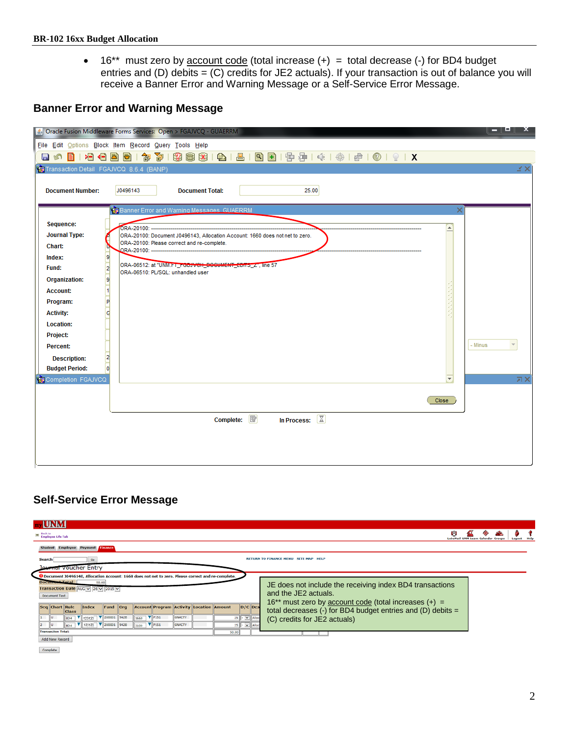• 16<sup>\*\*</sup> must zero by account code (total increase (+) = total decrease (-) for BD4 budget entries and (D) debits = (C) credits for JE2 actuals). If your transaction is out of balance you will receive a Banner Error and Warning Message or a Self-Service Error Message.

## **Banner Error and Warning Message**

|                                         | S Oracle Fusion Middleware Forms Services: Open > FGAJVCQ - GUAERRM                           | — L<br>x |
|-----------------------------------------|-----------------------------------------------------------------------------------------------|----------|
|                                         | File Edit Options Block Item Record Query Tools Help                                          |          |
| $\blacksquare$<br>В<br><b>IST</b>       |                                                                                               |          |
| Transaction Detail FGAJVCQ 8.6.4 (BANP) |                                                                                               | ¥Χ       |
|                                         |                                                                                               |          |
| <b>Document Number:</b>                 | J0496143<br>25.00<br><b>Document Total:</b>                                                   |          |
|                                         |                                                                                               |          |
|                                         | <b>Banner Error and Warning Messages GUAERRM</b><br>×                                         |          |
| Sequence:                               | ORA-20100: --<br>$\blacktriangle$                                                             |          |
| <b>Journal Type:</b>                    | ORA-20100: Document J0496143, Allocation Account: 1660 does not net to zero.                  |          |
| Chart:                                  | ORA-20100: Please correct and re-complete.<br>ORA-20100: ------------------------------       |          |
| Index:<br>g                             |                                                                                               |          |
| $\overline{2}$<br>Fund:                 | ORA-06512: at "UNM.FT_FGBJVCH_DOCUMENT_EDITS_Z", line 57<br>ORA-06510: PL/SQL: unhandled user |          |
| 9<br><b>Organization:</b>               |                                                                                               |          |
| $\frac{1}{1}$<br><b>Account:</b>        |                                                                                               |          |
| Program:<br>Þ                           |                                                                                               |          |
| <b>Activity:</b><br>c                   |                                                                                               |          |
| <b>Location:</b>                        |                                                                                               |          |
| Project:                                |                                                                                               |          |
| Percent:                                |                                                                                               | - Minus  |
| $\overline{a}$<br><b>Description:</b>   |                                                                                               |          |
| <b>Budget Period:</b>                   |                                                                                               |          |
| Completion FGAJVCQ                      | $\overline{\mathbf{v}}$                                                                       | 河区       |
|                                         |                                                                                               |          |
|                                         | Close                                                                                         |          |
|                                         | Complete: $\boxed{\mathbb{R}}$<br>In Process: $\boxed{2}$                                     |          |
|                                         |                                                                                               |          |
|                                         |                                                                                               |          |
|                                         |                                                                                               |          |
|                                         |                                                                                               |          |
|                                         |                                                                                               |          |

### **Self-Service Error Message**

| <b>UNM</b>                                                                                                                                              |                                                                                  |  |
|---------------------------------------------------------------------------------------------------------------------------------------------------------|----------------------------------------------------------------------------------|--|
| <b>ED</b> Back to<br>Employee Life Tab                                                                                                                  | W                                                                                |  |
| Student Employee Payment Finance                                                                                                                        |                                                                                  |  |
| <b>Search</b><br>Go                                                                                                                                     | <b>RETURN TO FINANCE MENU SITE MAP</b><br><b>HELP</b>                            |  |
| Iournal voucher Entry                                                                                                                                   |                                                                                  |  |
| <sup>0</sup> Document J0496140, Allocation Account: 1660 does not net to zero. Please correct and re-complete.<br><b>Document Total</b><br>50.00        |                                                                                  |  |
| Transaction Date AUG v 26 v 2015 v                                                                                                                      | JE does not include the receiving index BD4 transactions<br>and the JF2 actuals. |  |
| <b>Document Text</b>                                                                                                                                    | $16^{**}$ must zero by account code (total increases $(+)$ =                     |  |
| $D/C$ Des<br><b>Account Program Activity Location Amount</b><br>Seq Chart Rule<br>Fund Org<br>Index<br>  <sub>class</sub>                               | total decreases (-) for BD4 budget entries and (D) debits $=$                    |  |
| $\triangledown$ 200001 942B<br>$\P$ P <sub>151</sub><br><b>GNACTV</b><br>$25$ $\cdot \times$<br>123123<br>1660<br>804<br>$V$ P <sub>151</sub><br>GNACTV | (C) credits for JE2 actuals)                                                     |  |
| V 2U0001 942B<br>123123<br>llu<br>25<br>$\vee$ Alloc<br><b>BD4</b><br>3100<br><b>Transaction Total:</b><br>50.00                                        |                                                                                  |  |
| <b>Add New Record</b>                                                                                                                                   |                                                                                  |  |

 $\footnotesize \textbf{Complete} \footnotesize$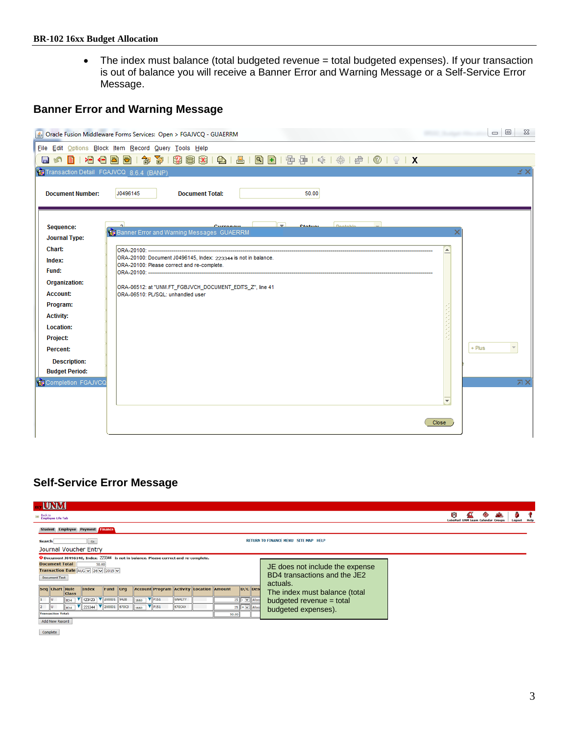• The index must balance (total budgeted revenue = total budgeted expenses). If your transaction is out of balance you will receive a Banner Error and Warning Message or a Self-Service Error Message.

# **Banner Error and Warning Message**

|                                                  | Dracle Fusion Middleware Forms Services: Open > FGAJVCQ - GUAERRM                                            |                            | $\Box$ $\Box$<br>$\Sigma$      |
|--------------------------------------------------|--------------------------------------------------------------------------------------------------------------|----------------------------|--------------------------------|
|                                                  | File Edit Options Block Item Record Query Tools Help                                                         |                            |                                |
|                                                  | 8000100000130018000101810019214141410191X                                                                    |                            |                                |
| Transaction Detail FGAJVCQ 8.6.4 (BANP)          |                                                                                                              |                            | м×                             |
| <b>Document Number:</b>                          | J0496145<br><b>Document Total:</b>                                                                           | 50.00                      |                                |
| Sequence:<br><b>Journal Type:</b>                | $\left[ - \right]$<br>Curronous<br>Banner Error and Warning Messages GUAERRM                                 | <b>Dootable</b><br>Ctatuor |                                |
| Chart:<br>Index:<br>Fund:                        | ORA-20100: Document J0496145, Index: 223344 is not in balance.<br>ORA-20100: Please correct and re-complete. |                            |                                |
| <b>Organization:</b><br><b>Account:</b>          | ORA-06512: at "UNM.FT_FGBJVCH_DOCUMENT_EDITS_Z", line 41<br>ORA-06510: PL/SQL: unhandled user                |                            |                                |
| Program:<br><b>Activity:</b><br><b>Location:</b> |                                                                                                              |                            |                                |
| <b>Project:</b><br>Percent:                      |                                                                                                              |                            | $+$ Plus                       |
| <b>Description:</b><br><b>Budget Period:</b>     |                                                                                                              |                            |                                |
| Completion FGAJVCQ                               |                                                                                                              |                            | 凤区<br>$\overline{\phantom{a}}$ |
|                                                  |                                                                                                              |                            | Close                          |

## **Self-Service Error Message**

| . UNM                                                                                                                                                    |   |  |  |  |  |  |
|----------------------------------------------------------------------------------------------------------------------------------------------------------|---|--|--|--|--|--|
| <b>ED</b> Back to<br>Employee Life Tab                                                                                                                   | 内 |  |  |  |  |  |
| <b>Employee</b><br><b>Payment Finance</b><br><b>Student</b>                                                                                              |   |  |  |  |  |  |
| <b>RETURN TO FINANCE MENU SITE MAP HELP</b><br>$G\Phi$<br>Search                                                                                         |   |  |  |  |  |  |
| Journal Voucher Entry                                                                                                                                    |   |  |  |  |  |  |
| <sup>O</sup> Document J0496140, Index: 223344 is not in balance. Please correct and re-complete.                                                         |   |  |  |  |  |  |
| <b>Document Total</b><br>50.00<br>JE does not include the expense<br>Transaction Date AUG v 26 v 2015 v                                                  |   |  |  |  |  |  |
| BD4 transactions and the JE2<br><b>Document Text</b>                                                                                                     |   |  |  |  |  |  |
| actuals.                                                                                                                                                 |   |  |  |  |  |  |
| <b>Account Program Activity Location Amount</b><br>$D/C$ Desc<br>Seq Chart Rule<br>Index<br>Fund Org<br>The index must balance (total<br><b>Class</b>    |   |  |  |  |  |  |
| 123123   200001 9428<br>$\mathbf{v}$ P151<br>GNACTV<br>$25$ $\cdot$ $\cdot$ $\cdot$ Alloca<br>1<br>llu<br>1660<br>budgeted revenue = total<br><b>BD4</b> |   |  |  |  |  |  |
| 223344   200001 670C3<br> P151 <br><b>670CAX</b><br>$25$ $+$ $\vee$ Alloca<br>12<br>llυ<br>1660<br><b>BD4</b><br>budgeted expenses).                     |   |  |  |  |  |  |
| <b>Transaction Total:</b><br>50.00                                                                                                                       |   |  |  |  |  |  |
| Add New Record                                                                                                                                           |   |  |  |  |  |  |

Complete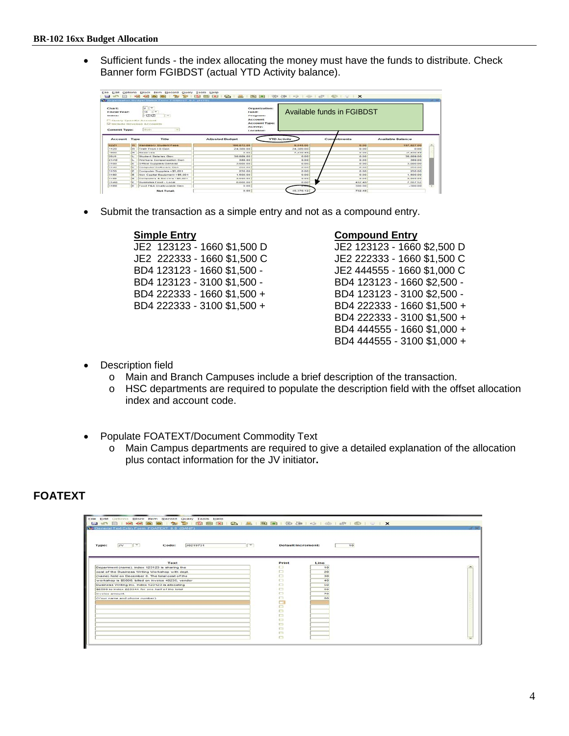• Sufficient funds - the index allocating the money must have the funds to distribute. Check Banner form FGIBDST (actual YTD Activity balance).

|                                                                                              | <b>We Dreamization Dudget Diatua Form FG(DDST B.6 (INTG)</b> |                                                                                                                                                                         |                        |                                                                                                                 |                            |                          |
|----------------------------------------------------------------------------------------------|--------------------------------------------------------------|-------------------------------------------------------------------------------------------------------------------------------------------------------------------------|------------------------|-----------------------------------------------------------------------------------------------------------------|----------------------------|--------------------------|
| <b>Chart</b> :<br>Fincal Year:<br>index:<br><b>Commit Type:</b>                              |                                                              | $\overline{\phantom{a}}$<br>$\overline{u}$<br>$16 - 1 -$<br>9123123<br>$\sim$<br><b>CO Query Specific Account</b><br><b>GA Include Hevenson Accounts</b><br><b>Both</b> |                        | Organization:<br>Fames:<br>Programs<br><b>Account:</b><br><b>Account Type:</b><br><b>Activity:</b><br>Locationt | Available funds in FGIBDST |                          |
| <b>ACCOMME</b>                                                                               | Types                                                        |                                                                                                                                                                         |                        |                                                                                                                 |                            |                          |
|                                                                                              |                                                              | Title                                                                                                                                                                   | <b>Adjusted Budget</b> | <b>YTD Activity</b>                                                                                             | Competitionents            | <b>Available Balance</b> |
|                                                                                              | R                                                            | Mandatory Student Fees                                                                                                                                                  | 166.672.00             | 9.045.00                                                                                                        | 0.00                       | 157.527.00               |
|                                                                                              | lec                                                          | Trafr From LO Clan                                                                                                                                                      | 24,389,00              | 24,389,00                                                                                                       | 0.00                       | 0.00                     |
|                                                                                              | l es-                                                        | <b>Beserves</b>                                                                                                                                                         | 0.00                   | 7.430.49                                                                                                        | 0.00                       | $-7.450.49$              |
|                                                                                              |                                                              | <b>Student Selaries Gen</b>                                                                                                                                             | 30,009.00              | 0.00                                                                                                            | 0.00                       | 38.889.00                |
|                                                                                              |                                                              | Workers Compensation Gen                                                                                                                                                | 389.00                 | 0.00                                                                                                            | 0.00                       | 389.00                   |
|                                                                                              |                                                              | CITROS Supplem Cleneral                                                                                                                                                 | 3,000.00               | 0.00                                                                                                            | 0.00                       | 3,000.00                 |
|                                                                                              |                                                              | Computer Software Clerk                                                                                                                                                 | 250.00                 | 0.00                                                                                                            | 0.00                       | 280.00                   |
|                                                                                              |                                                              | Computer Supplies = \$5.001                                                                                                                                             | 250.00                 | 0.00                                                                                                            | 0.00                       | 250.00                   |
|                                                                                              |                                                              | Non Capital Equipment +55.001                                                                                                                                           | 1.500.00               | 0.00                                                                                                            | 0.00                       | 1.500.00                 |
|                                                                                              |                                                              | Computers & Servers +55,001                                                                                                                                             | 2.000.00               | 0.00                                                                                                            | 0.00                       | 3.000.00                 |
| <b>OZZI</b><br>1120<br>1900<br>2010<br>21A0<br>3500<br>3140<br>3150<br>3180<br>2189<br>33,60 |                                                              | Business Food - Local                                                                                                                                                   | 8,000.00               | 0.00                                                                                                            | 432.40                     | 7.5637.52                |

• Submit the transaction as a simple entry and not as a compound entry.

JE2 222333 - 1660 \$1,500 C

**Simple Entry Compound Entry** JE2 123123 - 1660 \$1,500 D JE2 123123 - 1660 \$2,500 D BD4 123123 - 1660 \$1,500 - JE2 444555 - 1660 \$1,000 C BD4 123123 - 3100 \$1,500 - BD4 123123 - 1660 \$2,500 - BD4 222333 - 1660 \$1,500 + BD4 123123 - 3100 \$2,500 - BD4 222333 - 3100 \$1,500 + BD4 222333 - 1660 \$1,500 + BD4 222333 - 3100 \$1,500 + BD4 444555 - 1660 \$1,000 + BD4 444555 - 3100 \$1,000 +

- **Description field** 
	- o Main and Branch Campuses include a brief description of the transaction.
	- o HSC departments are required to populate the description field with the offset allocation index and account code.
- Populate FOATEXT/Document Commodity Text
	- o Main Campus departments are required to give a detailed explanation of the allocation plus contact information for the JV initiator**.**

### **FOATEXT**

| Edit Options Block Item Record Query Tools Help<br>Elle<br><b>PORT</b><br>Sp General Text Entry Form FOATEXT 0.0 (BANP) |                           |      | $-200$ |
|-------------------------------------------------------------------------------------------------------------------------|---------------------------|------|--------|
| $\left( -\right)$<br>J0219731<br>$-$<br><b>JV</b><br>Code:<br>Type:                                                     | <b>Default Increment:</b> | 10   |        |
| Toxt                                                                                                                    | Print                     | Lino |        |
| Department (name), index 123123 is sharing the                                                                          |                           | 10   |        |
| cest of the Dusiness Writing Workshep with dept.                                                                        | □                         | 20   |        |
| (name) held on December 8. The total cost of the                                                                        | о                         | 30   |        |
| workshop is \$5000, billed on invoice 40235, vendor                                                                     | ò                         | 40   |        |
| Duaineaa Writing Inc. Index 123123 is allocating                                                                        | o                         | 50   |        |
| \$2500 to index 223344 for one half of the total                                                                        | ▭                         | GO   |        |
| invoice amount.                                                                                                         | $\Box$                    | 70   |        |
| (Your name and phone number).                                                                                           | $\Box$                    | 00   |        |
|                                                                                                                         | 등                         |      |        |
|                                                                                                                         |                           |      |        |
|                                                                                                                         | $\Box$                    |      |        |
|                                                                                                                         | $\Box$                    |      |        |
|                                                                                                                         | $\Box$                    |      |        |
|                                                                                                                         | ▭                         |      |        |
|                                                                                                                         | $\Box$                    |      |        |
|                                                                                                                         | m                         |      |        |
|                                                                                                                         | C                         |      |        |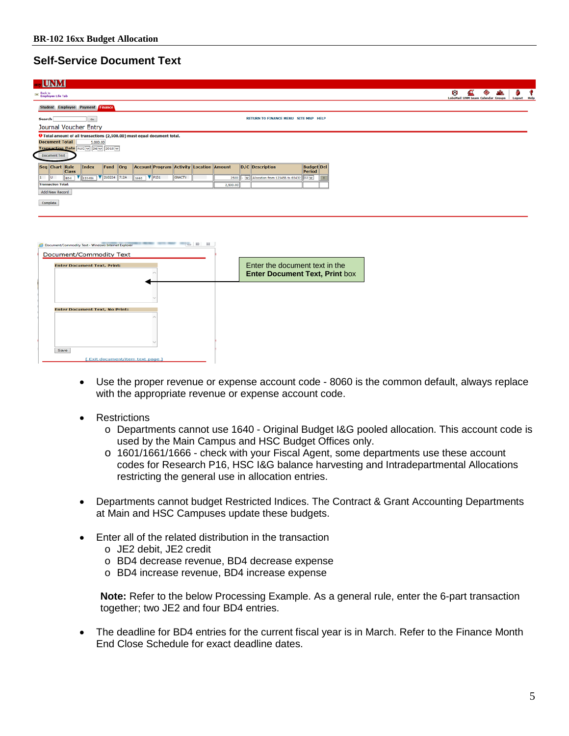# **Self-Service Document Text**

| <b>IUNM</b>                                                                                                   |                                                                |                                                                 |
|---------------------------------------------------------------------------------------------------------------|----------------------------------------------------------------|-----------------------------------------------------------------|
| <b>30 Back to</b><br><b>Employee Life Tab</b>                                                                 |                                                                | r a<br><b>LoboMail UNM Learn Calendar Groups</b><br>Logout Help |
| Student Employee Payment Finance                                                                              |                                                                |                                                                 |
| 60 <sub>o</sub><br><b>Search</b>                                                                              | RETURN TO FINANCE MENU SITE MAP HELP                           |                                                                 |
| Journal Voucher Entry                                                                                         |                                                                |                                                                 |
| O Total amount of all transactions (2,500.00) must equal document total.<br><b>Document Total</b><br>5,000.00 |                                                                |                                                                 |
| Transaction Date AUG V 26 V 2015 V                                                                            |                                                                |                                                                 |
| <b>Document Text</b>                                                                                          |                                                                |                                                                 |
| <b>Account Program Activity Location Amount</b><br>Seq Chart Rule<br>Index<br>Fund Org<br><b>Class</b>        | D/C Description<br><b>Budget</b> Del<br>Period                 |                                                                 |
| $\nabla$ P131<br>$\blacktriangledown$ 200224 712A<br>GNACTV<br>1660<br>123456<br>llu.<br>804                  | v Allocation from 123456 to 65432 02 v<br>2500<br>$\mathbf{x}$ |                                                                 |
| <b>Transaction Total:</b>                                                                                     | 2,500.00                                                       |                                                                 |
| Add New Record                                                                                                |                                                                |                                                                 |
| Complete                                                                                                      |                                                                |                                                                 |
|                                                                                                               |                                                                |                                                                 |
|                                                                                                               |                                                                |                                                                 |
|                                                                                                               |                                                                |                                                                 |
| $\Box$ $\Box$<br>$^{52}$<br>Document/Commodity Text - Windows Internet Explorer                               |                                                                |                                                                 |
| Document/Commodity Text                                                                                       |                                                                |                                                                 |
| <b>Enter Document Text, Print:</b>                                                                            | Enter the document text in the                                 |                                                                 |
|                                                                                                               | <b>Enter Document Text, Print box</b>                          |                                                                 |
|                                                                                                               |                                                                |                                                                 |
|                                                                                                               |                                                                |                                                                 |
|                                                                                                               |                                                                |                                                                 |
| Enter Document Text, No Drint:                                                                                |                                                                |                                                                 |

- Use the proper revenue or expense account code 8060 is the common default, always replace with the appropriate revenue or expense account code.
- **Restrictions**

Save

- o Departments cannot use 1640 Original Budget I&G pooled allocation. This account code is used by the Main Campus and HSC Budget Offices only.
- o 1601/1661/1666 check with your Fiscal Agent, some departments use these account codes for Research P16, HSC I&G balance harvesting and Intradepartmental Allocations restricting the general use in allocation entries.
- Departments cannot budget Restricted Indices. The Contract & Grant Accounting Departments at Main and HSC Campuses update these budgets.
- Enter all of the related distribution in the transaction
	- o JE2 debit, JE2 credit
	- o BD4 decrease revenue, BD4 decrease expense
	- o BD4 increase revenue, BD4 increase expense

**Note:** Refer to the below Processing Example. As a general rule, enter the 6-part transaction together; two JE2 and four BD4 entries.

• The deadline for BD4 entries for the current fiscal year is in March. Refer to the Finance Month End Close Schedule for exact deadline dates.